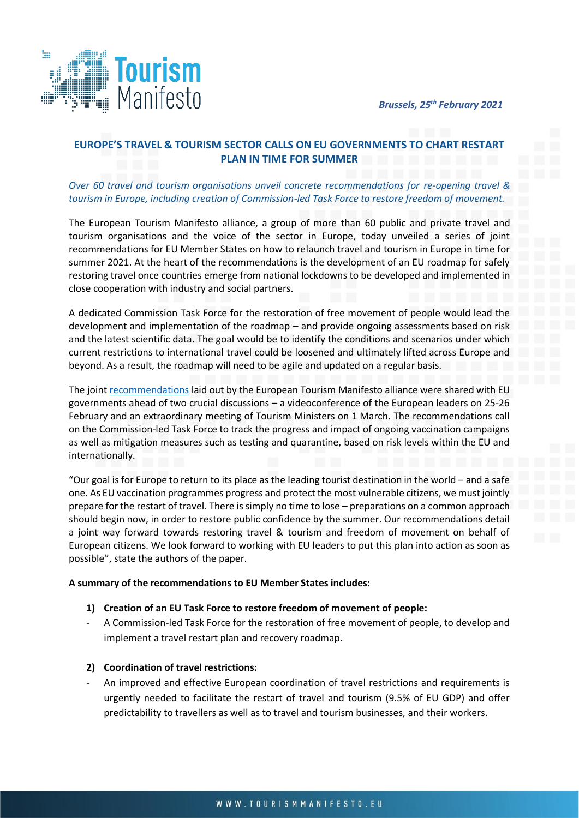

# **EUROPE'S TRAVEL & TOURISM SECTOR CALLS ON EU GOVERNMENTS TO CHART RESTART PLAN IN TIME FOR SUMMER**

## *Over 60 travel and tourism organisations unveil concrete recommendations for re-opening travel & tourism in Europe, including creation of Commission-led Task Force to restore freedom of movement.*

The European Tourism Manifesto alliance, a group of more than 60 public and private travel and tourism organisations and the voice of the sector in Europe, today unveiled a series of joint recommendations for EU Member States on how to relaunch travel and tourism in Europe in time for summer 2021. At the heart of the recommendations is the development of an EU roadmap for safely restoring travel once countries emerge from national lockdowns to be developed and implemented in close cooperation with industry and social partners.

A dedicated Commission Task Force for the restoration of free movement of people would lead the development and implementation of the roadmap – and provide ongoing assessments based on risk and the latest scientific data. The goal would be to identify the conditions and scenarios under which current restrictions to international travel could be loosened and ultimately lifted across Europe and beyond. As a result, the roadmap will need to be agile and updated on a regular basis.

The join[t recommendations](https://tourismmanifesto.eu/wp-content/uploads/2021/02/European-Tourism-Manifesto-alliance-Travel-and-Tourism-Exit-Strategy.pdf) laid out by the European Tourism Manifesto alliance were shared with EU governments ahead of two crucial discussions – a videoconference of the European leaders on 25-26 February and an extraordinary meeting of Tourism Ministers on 1 March. The recommendations call on the Commission-led Task Force to track the progress and impact of ongoing vaccination campaigns as well as mitigation measures such as testing and quarantine, based on risk levels within the EU and internationally.

"Our goal is for Europe to return to its place as the leading tourist destination in the world – and a safe one. As EU vaccination programmes progress and protect the most vulnerable citizens, we must jointly prepare for the restart of travel. There is simply no time to lose – preparations on a common approach should begin now, in order to restore public confidence by the summer. Our recommendations detail a joint way forward towards restoring travel & tourism and freedom of movement on behalf of European citizens. We look forward to working with EU leaders to put this plan into action as soon as possible", state the authors of the paper.

### **A summary of the recommendations to EU Member States includes:**

### **1) Creation of an EU Task Force to restore freedom of movement of people:**

- A Commission-led Task Force for the restoration of free movement of people, to develop and implement a travel restart plan and recovery roadmap.

### **2) Coordination of travel restrictions:**

- An improved and effective European coordination of travel restrictions and requirements is urgently needed to facilitate the restart of travel and tourism (9.5% of EU GDP) and offer predictability to travellers as well as to travel and tourism businesses, and their workers.